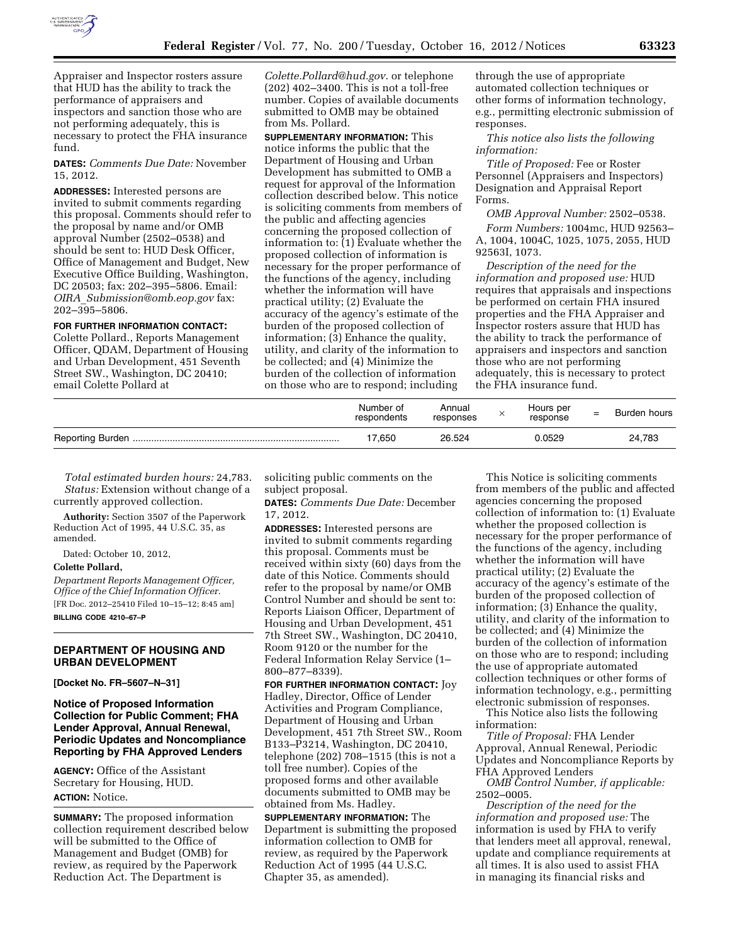

Appraiser and Inspector rosters assure that HUD has the ability to track the performance of appraisers and inspectors and sanction those who are not performing adequately, this is necessary to protect the FHA insurance fund.

**DATES:** *Comments Due Date:* November 15, 2012.

**ADDRESSES:** Interested persons are invited to submit comments regarding this proposal. Comments should refer to the proposal by name and/or OMB approval Number (2502–0538) and should be sent to: HUD Desk Officer, Office of Management and Budget, New Executive Office Building, Washington, DC 20503; fax: 202–395–5806. Email: *OIRA*\_*[Submission@omb.eop.gov](mailto:OIRA_Submission@omb.eop.gov)* fax: 202–395–5806.

### **FOR FURTHER INFORMATION CONTACT:**

Colette Pollard., Reports Management Officer, QDAM, Department of Housing and Urban Development, 451 Seventh Street SW., Washington, DC 20410; email Colette Pollard at

*[Colette.Pollard@hud.gov](mailto:Colette.Pollard@hud.gov)*. or telephone (202) 402–3400. This is not a toll-free number. Copies of available documents submitted to OMB may be obtained from Ms. Pollard.

**SUPPLEMENTARY INFORMATION:** This notice informs the public that the Department of Housing and Urban Development has submitted to OMB a request for approval of the Information collection described below. This notice is soliciting comments from members of the public and affecting agencies concerning the proposed collection of information to: (1) Evaluate whether the proposed collection of information is necessary for the proper performance of the functions of the agency, including whether the information will have practical utility; (2) Evaluate the accuracy of the agency's estimate of the burden of the proposed collection of information; (3) Enhance the quality, utility, and clarity of the information to be collected; and (4) Minimize the burden of the collection of information on those who are to respond; including

through the use of appropriate automated collection techniques or other forms of information technology, e.g., permitting electronic submission of responses.

*This notice also lists the following information:* 

*Title of Proposed:* Fee or Roster Personnel (Appraisers and Inspectors) Designation and Appraisal Report Forms.

*OMB Approval Number:* 2502–0538. *Form Numbers:* 1004mc, HUD 92563– A, 1004, 1004C, 1025, 1075, 2055, HUD 92563I, 1073.

*Description of the need for the information and proposed use:* HUD requires that appraisals and inspections be performed on certain FHA insured properties and the FHA Appraiser and Inspector rosters assure that HUD has the ability to track the performance of appraisers and inspectors and sanction those who are not performing adequately, this is necessary to protect the FHA insurance fund.

| Number of<br>respondents | Annual<br>responses | Hours per<br>response | $=$ | Burden hours |
|--------------------------|---------------------|-----------------------|-----|--------------|
| 17.650                   | 26.524              | 0.0529                |     | 24,783       |

*Total estimated burden hours:* 24,783. *Status:* Extension without change of a currently approved collection.

**Authority:** Section 3507 of the Paperwork Reduction Act of 1995, 44 U.S.C. 35, as amended.

Dated: October 10, 2012,

### **Colette Pollard,**

*Department Reports Management Officer, Office of the Chief Information Officer.*  [FR Doc. 2012–25410 Filed 10–15–12; 8:45 am] **BILLING CODE 4210–67–P** 

## **DEPARTMENT OF HOUSING AND URBAN DEVELOPMENT**

**[Docket No. FR–5607–N–31]** 

# **Notice of Proposed Information Collection for Public Comment; FHA Lender Approval, Annual Renewal, Periodic Updates and Noncompliance Reporting by FHA Approved Lenders**

**AGENCY:** Office of the Assistant Secretary for Housing, HUD. **ACTION:** Notice.

**SUMMARY:** The proposed information collection requirement described below will be submitted to the Office of Management and Budget (OMB) for review, as required by the Paperwork Reduction Act. The Department is

soliciting public comments on the subject proposal.

**DATES:** *Comments Due Date:* December 17, 2012.

**ADDRESSES:** Interested persons are invited to submit comments regarding this proposal. Comments must be received within sixty (60) days from the date of this Notice. Comments should refer to the proposal by name/or OMB Control Number and should be sent to: Reports Liaison Officer, Department of Housing and Urban Development, 451 7th Street SW., Washington, DC 20410, Room 9120 or the number for the Federal Information Relay Service (1– 800–877–8339).

**FOR FURTHER INFORMATION CONTACT:** Joy Hadley, Director, Office of Lender Activities and Program Compliance, Department of Housing and Urban Development, 451 7th Street SW., Room B133–P3214, Washington, DC 20410, telephone (202) 708–1515 (this is not a toll free number). Copies of the proposed forms and other available documents submitted to OMB may be obtained from Ms. Hadley.

**SUPPLEMENTARY INFORMATION:** The Department is submitting the proposed information collection to OMB for review, as required by the Paperwork Reduction Act of 1995 (44 U.S.C. Chapter 35, as amended).

This Notice is soliciting comments from members of the public and affected agencies concerning the proposed collection of information to: (1) Evaluate whether the proposed collection is necessary for the proper performance of the functions of the agency, including whether the information will have practical utility; (2) Evaluate the accuracy of the agency's estimate of the burden of the proposed collection of information; (3) Enhance the quality, utility, and clarity of the information to be collected; and (4) Minimize the burden of the collection of information on those who are to respond; including the use of appropriate automated collection techniques or other forms of information technology, e.g., permitting electronic submission of responses.

This Notice also lists the following information:

*Title of Proposal:* FHA Lender Approval, Annual Renewal, Periodic Updates and Noncompliance Reports by FHA Approved Lenders

*OMB Control Number, if applicable:*  2502–0005.

*Description of the need for the information and proposed use:* The information is used by FHA to verify that lenders meet all approval, renewal, update and compliance requirements at all times. It is also used to assist FHA in managing its financial risks and